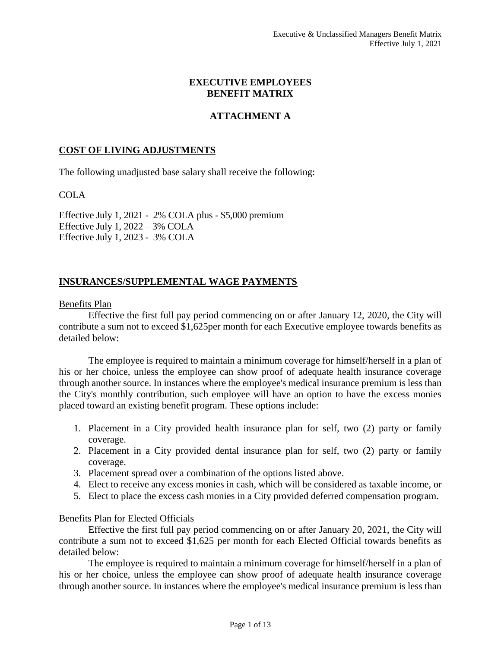### **EXECUTIVE EMPLOYEES BENEFIT MATRIX**

# **ATTACHMENT A**

### **COST OF LIVING ADJUSTMENTS**

The following unadjusted base salary shall receive the following:

### COLA

Effective July 1, 2021 - 2% COLA plus - \$5,000 premium Effective July 1, 2022 – 3% COLA Effective July 1, 2023 - 3% COLA

## **INSURANCES/SUPPLEMENTAL WAGE PAYMENTS**

#### Benefits Plan

Effective the first full pay period commencing on or after January 12, 2020, the City will contribute a sum not to exceed \$1,625per month for each Executive employee towards benefits as detailed below:

The employee is required to maintain a minimum coverage for himself/herself in a plan of his or her choice, unless the employee can show proof of adequate health insurance coverage through another source. In instances where the employee's medical insurance premium is less than the City's monthly contribution, such employee will have an option to have the excess monies placed toward an existing benefit program. These options include:

- 1. Placement in a City provided health insurance plan for self, two (2) party or family coverage.
- 2. Placement in a City provided dental insurance plan for self, two (2) party or family coverage.
- 3. Placement spread over a combination of the options listed above.
- 4. Elect to receive any excess monies in cash, which will be considered as taxable income, or
- 5. Elect to place the excess cash monies in a City provided deferred compensation program.

#### Benefits Plan for Elected Officials

Effective the first full pay period commencing on or after January 20, 2021, the City will contribute a sum not to exceed \$1,625 per month for each Elected Official towards benefits as detailed below:

The employee is required to maintain a minimum coverage for himself/herself in a plan of his or her choice, unless the employee can show proof of adequate health insurance coverage through another source. In instances where the employee's medical insurance premium is less than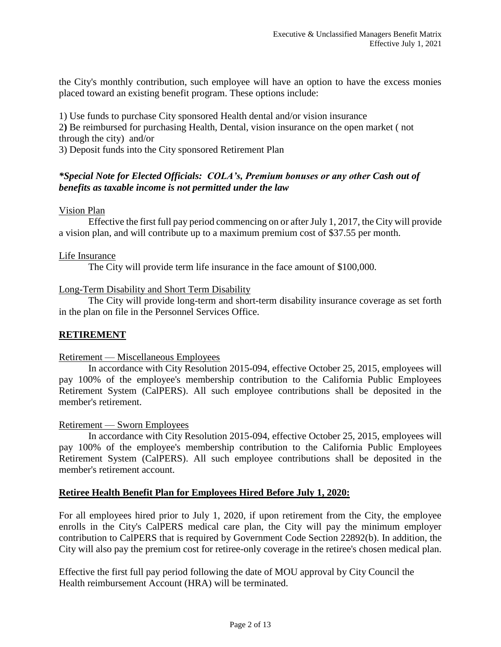the City's monthly contribution, such employee will have an option to have the excess monies placed toward an existing benefit program. These options include:

1) Use funds to purchase City sponsored Health dental and/or vision insurance 2**)** Be reimbursed for purchasing Health, Dental, vision insurance on the open market ( not through the city) and/or

3) Deposit funds into the City sponsored Retirement Plan

## *\*Special Note for Elected Officials: COLA's, Premium bonuses or any other Cash out of benefits as taxable income is not permitted under the law*

### Vision Plan

Effective the first full pay period commencing on or after July 1, 2017, the City will provide a vision plan, and will contribute up to a maximum premium cost of \$37.55 per month.

### Life Insurance

The City will provide term life insurance in the face amount of \$100,000.

#### Long-Term Disability and Short Term Disability

The City will provide long-term and short-term disability insurance coverage as set forth in the plan on file in the Personnel Services Office.

### **RETIREMENT**

#### Retirement — Miscellaneous Employees

In accordance with City Resolution 2015-094, effective October 25, 2015, employees will pay 100% of the employee's membership contribution to the California Public Employees Retirement System (CalPERS). All such employee contributions shall be deposited in the member's retirement.

#### Retirement — Sworn Employees

In accordance with City Resolution 2015-094, effective October 25, 2015, employees will pay 100% of the employee's membership contribution to the California Public Employees Retirement System (CalPERS). All such employee contributions shall be deposited in the member's retirement account.

## **Retiree Health Benefit Plan for Employees Hired Before July 1, 2020:**

For all employees hired prior to July 1, 2020, if upon retirement from the City, the employee enrolls in the City's CalPERS medical care plan, the City will pay the minimum employer contribution to CalPERS that is required by Government Code Section 22892(b). In addition, the City will also pay the premium cost for retiree-only coverage in the retiree's chosen medical plan.

Effective the first full pay period following the date of MOU approval by City Council the Health reimbursement Account (HRA) will be terminated.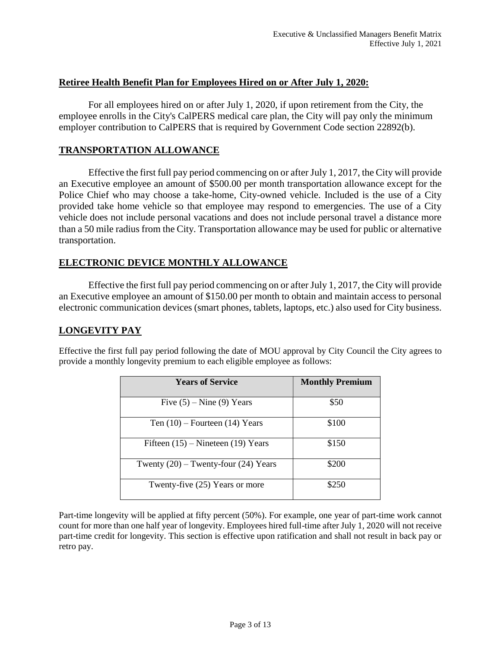## **Retiree Health Benefit Plan for Employees Hired on or After July 1, 2020:**

For all employees hired on or after July 1, 2020, if upon retirement from the City, the employee enrolls in the City's CalPERS medical care plan, the City will pay only the minimum employer contribution to CalPERS that is required by Government Code section 22892(b).

## **TRANSPORTATION ALLOWANCE**

Effective the first full pay period commencing on or after July 1, 2017, the City will provide an Executive employee an amount of \$500.00 per month transportation allowance except for the Police Chief who may choose a take-home, City-owned vehicle. Included is the use of a City provided take home vehicle so that employee may respond to emergencies. The use of a City vehicle does not include personal vacations and does not include personal travel a distance more than a 50 mile radius from the City. Transportation allowance may be used for public or alternative transportation.

# **ELECTRONIC DEVICE MONTHLY ALLOWANCE**

Effective the first full pay period commencing on or after July 1, 2017, the City will provide an Executive employee an amount of \$150.00 per month to obtain and maintain access to personal electronic communication devices (smart phones, tablets, laptops, etc.) also used for City business.

# **LONGEVITY PAY**

Effective the first full pay period following the date of MOU approval by City Council the City agrees to provide a monthly longevity premium to each eligible employee as follows:

| <b>Years of Service</b>                  | <b>Monthly Premium</b> |
|------------------------------------------|------------------------|
| Five $(5)$ – Nine $(9)$ Years            | \$50                   |
| Ten $(10)$ – Fourteen $(14)$ Years       | \$100                  |
| Fifteen $(15)$ – Nineteen $(19)$ Years   | \$150                  |
| Twenty $(20)$ – Twenty-four $(24)$ Years | \$200                  |
| Twenty-five (25) Years or more           | \$250                  |

Part-time longevity will be applied at fifty percent (50%). For example, one year of part-time work cannot count for more than one half year of longevity. Employees hired full-time after July 1, 2020 will not receive part-time credit for longevity. This section is effective upon ratification and shall not result in back pay or retro pay.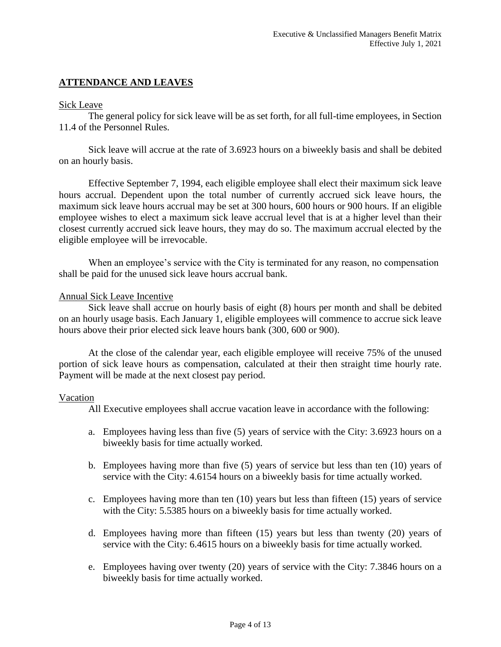## **ATTENDANCE AND LEAVES**

#### Sick Leave

The general policy for sick leave will be as set forth, for all full-time employees, in Section 11.4 of the Personnel Rules.

Sick leave will accrue at the rate of 3.6923 hours on a biweekly basis and shall be debited on an hourly basis.

Effective September 7, 1994, each eligible employee shall elect their maximum sick leave hours accrual. Dependent upon the total number of currently accrued sick leave hours, the maximum sick leave hours accrual may be set at 300 hours, 600 hours or 900 hours. If an eligible employee wishes to elect a maximum sick leave accrual level that is at a higher level than their closest currently accrued sick leave hours, they may do so. The maximum accrual elected by the eligible employee will be irrevocable.

When an employee's service with the City is terminated for any reason, no compensation shall be paid for the unused sick leave hours accrual bank.

#### Annual Sick Leave Incentive

Sick leave shall accrue on hourly basis of eight (8) hours per month and shall be debited on an hourly usage basis. Each January 1, eligible employees will commence to accrue sick leave hours above their prior elected sick leave hours bank (300, 600 or 900).

At the close of the calendar year, each eligible employee will receive 75% of the unused portion of sick leave hours as compensation, calculated at their then straight time hourly rate. Payment will be made at the next closest pay period.

#### Vacation

All Executive employees shall accrue vacation leave in accordance with the following:

- a. Employees having less than five (5) years of service with the City: 3.6923 hours on a biweekly basis for time actually worked.
- b. Employees having more than five (5) years of service but less than ten (10) years of service with the City: 4.6154 hours on a biweekly basis for time actually worked.
- c. Employees having more than ten (10) years but less than fifteen (15) years of service with the City: 5.5385 hours on a biweekly basis for time actually worked.
- d. Employees having more than fifteen (15) years but less than twenty (20) years of service with the City: 6.4615 hours on a biweekly basis for time actually worked.
- e. Employees having over twenty (20) years of service with the City: 7.3846 hours on a biweekly basis for time actually worked.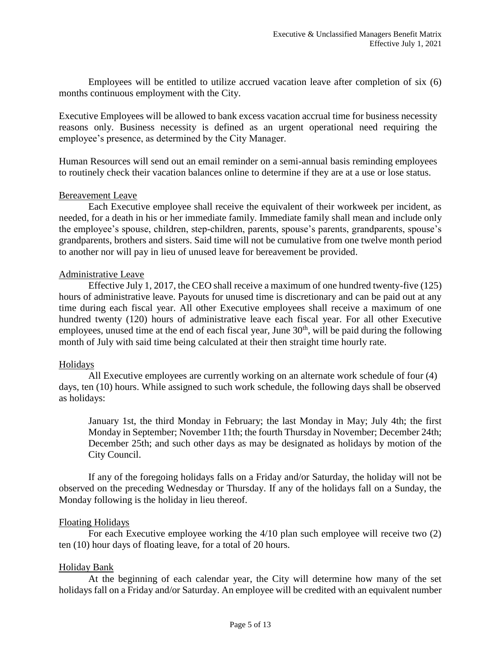Employees will be entitled to utilize accrued vacation leave after completion of six (6) months continuous employment with the City.

Executive Employees will be allowed to bank excess vacation accrual time for business necessity reasons only. Business necessity is defined as an urgent operational need requiring the employee's presence, as determined by the City Manager.

Human Resources will send out an email reminder on a semi-annual basis reminding employees to routinely check their vacation balances online to determine if they are at a use or lose status.

#### Bereavement Leave

Each Executive employee shall receive the equivalent of their workweek per incident, as needed, for a death in his or her immediate family. Immediate family shall mean and include only the employee's spouse, children, step-children, parents, spouse's parents, grandparents, spouse's grandparents, brothers and sisters. Said time will not be cumulative from one twelve month period to another nor will pay in lieu of unused leave for bereavement be provided.

#### Administrative Leave

Effective July 1, 2017, the CEO shall receive a maximum of one hundred twenty-five (125) hours of administrative leave. Payouts for unused time is discretionary and can be paid out at any time during each fiscal year. All other Executive employees shall receive a maximum of one hundred twenty (120) hours of administrative leave each fiscal year. For all other Executive employees, unused time at the end of each fiscal year, June  $30<sup>th</sup>$ , will be paid during the following month of July with said time being calculated at their then straight time hourly rate.

### Holidays

All Executive employees are currently working on an alternate work schedule of four (4) days, ten (10) hours. While assigned to such work schedule, the following days shall be observed as holidays:

January 1st, the third Monday in February; the last Monday in May; July 4th; the first Monday in September; November 11th; the fourth Thursday in November; December 24th; December 25th; and such other days as may be designated as holidays by motion of the City Council.

If any of the foregoing holidays falls on a Friday and/or Saturday, the holiday will not be observed on the preceding Wednesday or Thursday. If any of the holidays fall on a Sunday, the Monday following is the holiday in lieu thereof.

### Floating Holidays

For each Executive employee working the 4/10 plan such employee will receive two (2) ten (10) hour days of floating leave, for a total of 20 hours.

### Holiday Bank

At the beginning of each calendar year, the City will determine how many of the set holidays fall on a Friday and/or Saturday. An employee will be credited with an equivalent number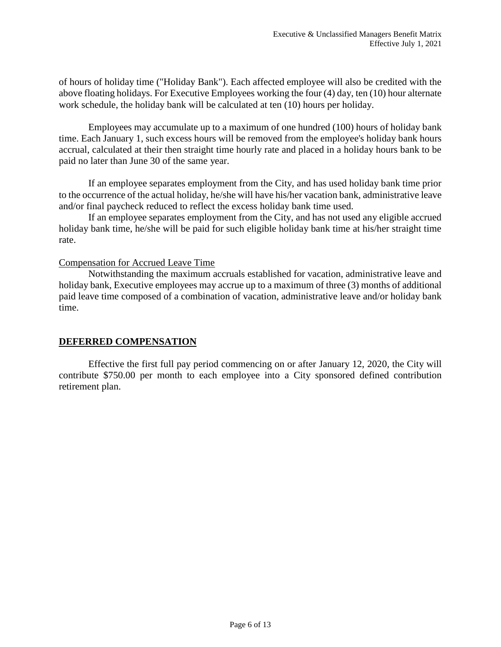of hours of holiday time ("Holiday Bank"). Each affected employee will also be credited with the above floating holidays. For Executive Employees working the four (4) day, ten (10) hour alternate work schedule, the holiday bank will be calculated at ten (10) hours per holiday.

Employees may accumulate up to a maximum of one hundred (100) hours of holiday bank time. Each January 1, such excess hours will be removed from the employee's holiday bank hours accrual, calculated at their then straight time hourly rate and placed in a holiday hours bank to be paid no later than June 30 of the same year.

If an employee separates employment from the City, and has used holiday bank time prior to the occurrence of the actual holiday, he/she will have his/her vacation bank, administrative leave and/or final paycheck reduced to reflect the excess holiday bank time used.

If an employee separates employment from the City, and has not used any eligible accrued holiday bank time, he/she will be paid for such eligible holiday bank time at his/her straight time rate.

### Compensation for Accrued Leave Time

Notwithstanding the maximum accruals established for vacation, administrative leave and holiday bank, Executive employees may accrue up to a maximum of three (3) months of additional paid leave time composed of a combination of vacation, administrative leave and/or holiday bank time.

### **DEFERRED COMPENSATION**

Effective the first full pay period commencing on or after January 12, 2020, the City will contribute \$750.00 per month to each employee into a City sponsored defined contribution retirement plan.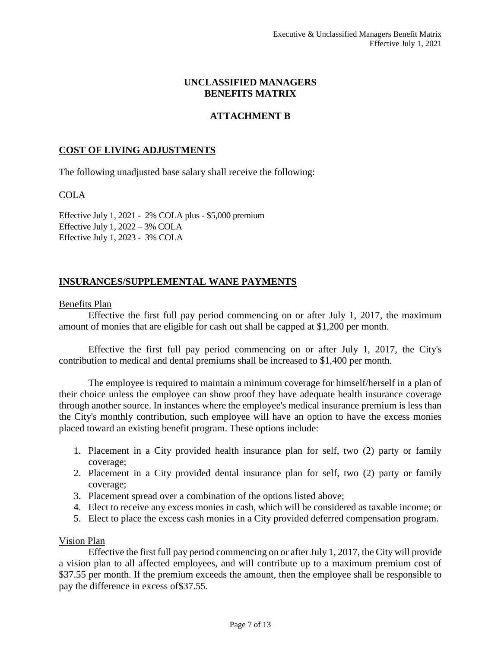### **UNCLASSIFIED MANAGERS BENEFITS MATRIX**

## **ATTACHMENT B**

#### **COST OF LIVING ADJUSTMENTS**

The following unadjusted base salary shall receive the following:

#### COLA

Effective July 1, 2021 - 2% COLA plus - \$5,000 premium Effective July 1, 2022 – 3% COLA Effective July 1, 2023 - 3% COLA

### **INSURANCES/SUPPLEMENTAL WANE PAYMENTS**

#### Benefits Plan

Effective the first full pay period commencing on or after July 1, 2017, the maximum amount of monies that are eligible for cash out shall be capped at \$1,200 per month.

Effective the first full pay period commencing on or after July 1, 2017, the City's contribution to medical and dental premiums shall be increased to \$1,400 per month.

The employee is required to maintain a minimum coverage for himself/herself in a plan of their choice unless the employee can show proof they have adequate health insurance coverage through another source. In instances where the employee's medical insurance premium is less than the City's monthly contribution, such employee will have an option to have the excess monies placed toward an existing benefit program. These options include:

- 1. Placement in a City provided health insurance plan for self, two (2) party or family coverage;
- 2. Placement in a City provided dental insurance plan for self, two (2) party or family coverage;
- 3. Placement spread over a combination of the options listed above;
- 4. Elect to receive any excess monies in cash, which will be considered as taxable income; or
- 5. Elect to place the excess cash monies in a City provided deferred compensation program.

#### Vision Plan

Effective the first full pay period commencing on or after July 1, 2017, the City will provide a vision plan to all affected employees, and will contribute up to a maximum premium cost of \$37.55 per month. If the premium exceeds the amount, then the employee shall be responsible to pay the difference in excess of\$37.55.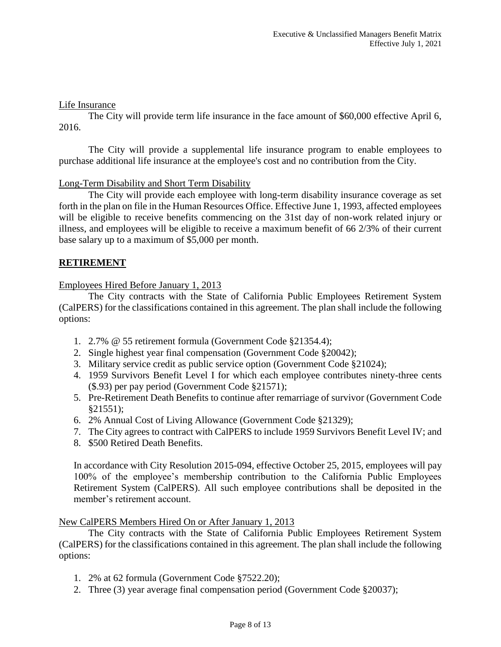### Life Insurance

The City will provide term life insurance in the face amount of \$60,000 effective April 6, 2016.

The City will provide a supplemental life insurance program to enable employees to purchase additional life insurance at the employee's cost and no contribution from the City.

#### Long-Term Disability and Short Term Disability

The City will provide each employee with long-term disability insurance coverage as set forth in the plan on file in the Human Resources Office. Effective June 1, 1993, affected employees will be eligible to receive benefits commencing on the 31st day of non-work related injury or illness, and employees will be eligible to receive a maximum benefit of 66 2/3% of their current base salary up to a maximum of \$5,000 per month.

### **RETIREMENT**

Employees Hired Before January 1, 2013

The City contracts with the State of California Public Employees Retirement System (CalPERS) for the classifications contained in this agreement. The plan shall include the following options:

- 1. 2.7% @ 55 retirement formula (Government Code §21354.4);
- 2. Single highest year final compensation (Government Code §20042);
- 3. Military service credit as public service option (Government Code §21024);
- 4. 1959 Survivors Benefit Level I for which each employee contributes ninety-three cents (\$.93) per pay period (Government Code §21571);
- 5. Pre-Retirement Death Benefits to continue after remarriage of survivor (Government Code §21551);
- 6. 2% Annual Cost of Living Allowance (Government Code §21329);
- 7. The City agrees to contract with CalPERS to include 1959 Survivors Benefit Level IV; and
- 8. \$500 Retired Death Benefits.

In accordance with City Resolution 2015-094, effective October 25, 2015, employees will pay 100% of the employee's membership contribution to the California Public Employees Retirement System (CalPERS). All such employee contributions shall be deposited in the member's retirement account.

#### New CalPERS Members Hired On or After January 1, 2013

The City contracts with the State of California Public Employees Retirement System (CalPERS) for the classifications contained in this agreement. The plan shall include the following options:

- 1. 2% at 62 formula (Government Code §7522.20);
- 2. Three (3) year average final compensation period (Government Code §20037);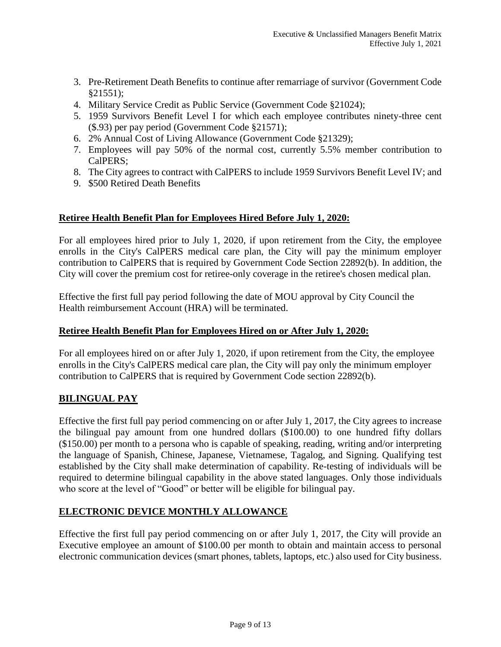- 3. Pre-Retirement Death Benefits to continue after remarriage of survivor (Government Code §21551);
- 4. Military Service Credit as Public Service (Government Code §21024);
- 5. 1959 Survivors Benefit Level I for which each employee contributes ninety-three cent (\$.93) per pay period (Government Code §21571);
- 6. 2% Annual Cost of Living Allowance (Government Code §21329);
- 7. Employees will pay 50% of the normal cost, currently 5.5% member contribution to CalPERS;
- 8. The City agrees to contract with CalPERS to include 1959 Survivors Benefit Level IV; and
- 9. \$500 Retired Death Benefits

# **Retiree Health Benefit Plan for Employees Hired Before July 1, 2020:**

For all employees hired prior to July 1, 2020, if upon retirement from the City, the employee enrolls in the City's CalPERS medical care plan, the City will pay the minimum employer contribution to CalPERS that is required by Government Code Section 22892(b). In addition, the City will cover the premium cost for retiree-only coverage in the retiree's chosen medical plan.

Effective the first full pay period following the date of MOU approval by City Council the Health reimbursement Account (HRA) will be terminated.

# **Retiree Health Benefit Plan for Employees Hired on or After July 1, 2020:**

For all employees hired on or after July 1, 2020, if upon retirement from the City, the employee enrolls in the City's CalPERS medical care plan, the City will pay only the minimum employer contribution to CalPERS that is required by Government Code section 22892(b).

# **BILINGUAL PAY**

Effective the first full pay period commencing on or after July 1, 2017, the City agrees to increase the bilingual pay amount from one hundred dollars (\$100.00) to one hundred fifty dollars (\$150.00) per month to a persona who is capable of speaking, reading, writing and/or interpreting the language of Spanish, Chinese, Japanese, Vietnamese, Tagalog, and Signing. Qualifying test established by the City shall make determination of capability. Re-testing of individuals will be required to determine bilingual capability in the above stated languages. Only those individuals who score at the level of "Good" or better will be eligible for bilingual pay.

# **ELECTRONIC DEVICE MONTHLY ALLOWANCE**

Effective the first full pay period commencing on or after July 1, 2017, the City will provide an Executive employee an amount of \$100.00 per month to obtain and maintain access to personal electronic communication devices (smart phones, tablets, laptops, etc.) also used for City business.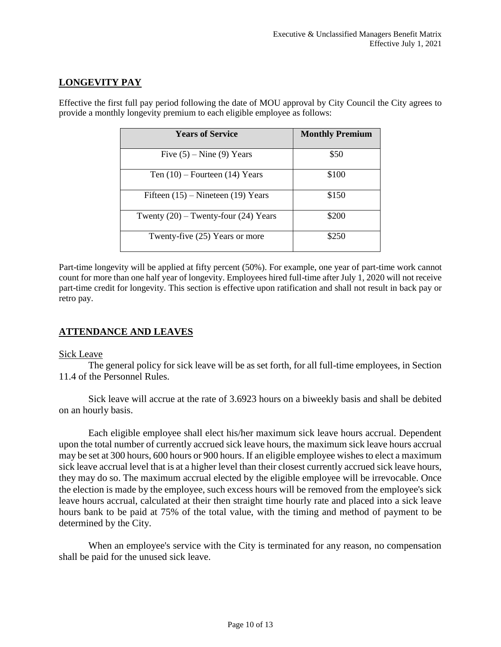# **LONGEVITY PAY**

Effective the first full pay period following the date of MOU approval by City Council the City agrees to provide a monthly longevity premium to each eligible employee as follows:

| <b>Years of Service</b>                  | <b>Monthly Premium</b> |
|------------------------------------------|------------------------|
| Five $(5)$ – Nine $(9)$ Years            | \$50                   |
| Ten $(10)$ – Fourteen $(14)$ Years       | \$100                  |
| Fifteen $(15)$ – Nineteen $(19)$ Years   | \$150                  |
| Twenty $(20)$ – Twenty-four $(24)$ Years | \$200                  |
| Twenty-five (25) Years or more           | \$250                  |

Part-time longevity will be applied at fifty percent (50%). For example, one year of part-time work cannot count for more than one half year of longevity. Employees hired full-time after July 1, 2020 will not receive part-time credit for longevity. This section is effective upon ratification and shall not result in back pay or retro pay.

### **ATTENDANCE AND LEAVES**

#### Sick Leave

The general policy for sick leave will be as set forth, for all full-time employees, in Section 11.4 of the Personnel Rules.

Sick leave will accrue at the rate of 3.6923 hours on a biweekly basis and shall be debited on an hourly basis.

Each eligible employee shall elect his/her maximum sick leave hours accrual. Dependent upon the total number of currently accrued sick leave hours, the maximum sick leave hours accrual may be set at 300 hours, 600 hours or 900 hours. If an eligible employee wishes to elect a maximum sick leave accrual level that is at a higher level than their closest currently accrued sick leave hours, they may do so. The maximum accrual elected by the eligible employee will be irrevocable. Once the election is made by the employee, such excess hours will be removed from the employee's sick leave hours accrual, calculated at their then straight time hourly rate and placed into a sick leave hours bank to be paid at 75% of the total value, with the timing and method of payment to be determined by the City.

When an employee's service with the City is terminated for any reason, no compensation shall be paid for the unused sick leave.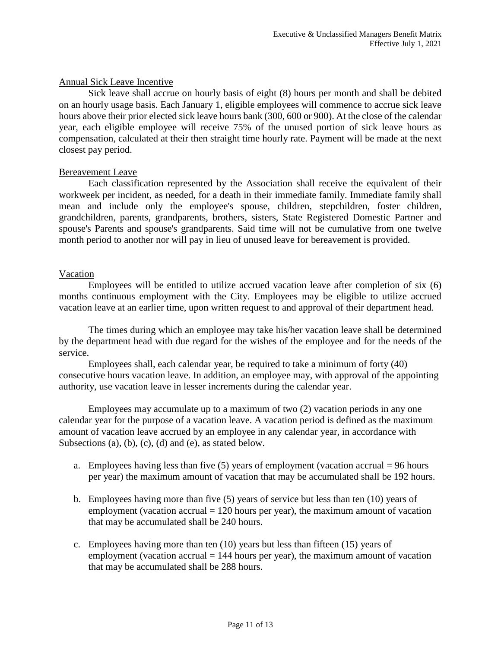## Annual Sick Leave Incentive

Sick leave shall accrue on hourly basis of eight (8) hours per month and shall be debited on an hourly usage basis. Each January 1, eligible employees will commence to accrue sick leave hours above their prior elected sick leave hours bank (300, 600 or 900). At the close of the calendar year, each eligible employee will receive 75% of the unused portion of sick leave hours as compensation, calculated at their then straight time hourly rate. Payment will be made at the next closest pay period.

### Bereavement Leave

Each classification represented by the Association shall receive the equivalent of their workweek per incident, as needed, for a death in their immediate family. Immediate family shall mean and include only the employee's spouse, children, stepchildren, foster children, grandchildren, parents, grandparents, brothers, sisters, State Registered Domestic Partner and spouse's Parents and spouse's grandparents. Said time will not be cumulative from one twelve month period to another nor will pay in lieu of unused leave for bereavement is provided.

## Vacation

Employees will be entitled to utilize accrued vacation leave after completion of six (6) months continuous employment with the City. Employees may be eligible to utilize accrued vacation leave at an earlier time, upon written request to and approval of their department head.

The times during which an employee may take his/her vacation leave shall be determined by the department head with due regard for the wishes of the employee and for the needs of the service.

Employees shall, each calendar year, be required to take a minimum of forty (40) consecutive hours vacation leave. In addition, an employee may, with approval of the appointing authority, use vacation leave in lesser increments during the calendar year.

Employees may accumulate up to a maximum of two (2) vacation periods in any one calendar year for the purpose of a vacation leave. A vacation period is defined as the maximum amount of vacation leave accrued by an employee in any calendar year, in accordance with Subsections (a), (b), (c), (d) and (e), as stated below.

- a. Employees having less than five  $(5)$  years of employment (vacation accrual = 96 hours per year) the maximum amount of vacation that may be accumulated shall be 192 hours.
- b. Employees having more than five (5) years of service but less than ten (10) years of employment (vacation accrual  $= 120$  hours per year), the maximum amount of vacation that may be accumulated shall be 240 hours.
- c. Employees having more than ten (10) years but less than fifteen (15) years of employment (vacation accrual  $= 144$  hours per year), the maximum amount of vacation that may be accumulated shall be 288 hours.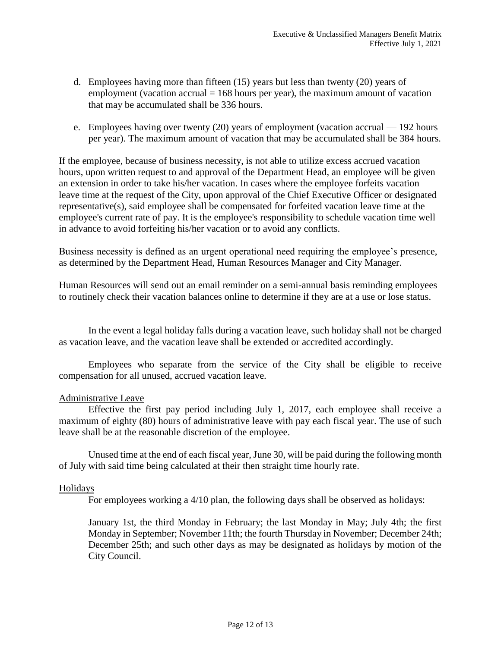- d. Employees having more than fifteen (15) years but less than twenty (20) years of employment (vacation accrual  $= 168$  hours per year), the maximum amount of vacation that may be accumulated shall be 336 hours.
- e. Employees having over twenty (20) years of employment (vacation accrual 192 hours per year). The maximum amount of vacation that may be accumulated shall be 384 hours.

If the employee, because of business necessity, is not able to utilize excess accrued vacation hours, upon written request to and approval of the Department Head, an employee will be given an extension in order to take his/her vacation. In cases where the employee forfeits vacation leave time at the request of the City, upon approval of the Chief Executive Officer or designated representative(s), said employee shall be compensated for forfeited vacation leave time at the employee's current rate of pay. It is the employee's responsibility to schedule vacation time well in advance to avoid forfeiting his/her vacation or to avoid any conflicts.

Business necessity is defined as an urgent operational need requiring the employee's presence, as determined by the Department Head, Human Resources Manager and City Manager.

Human Resources will send out an email reminder on a semi-annual basis reminding employees to routinely check their vacation balances online to determine if they are at a use or lose status.

In the event a legal holiday falls during a vacation leave, such holiday shall not be charged as vacation leave, and the vacation leave shall be extended or accredited accordingly.

Employees who separate from the service of the City shall be eligible to receive compensation for all unused, accrued vacation leave.

### Administrative Leave

Effective the first pay period including July 1, 2017, each employee shall receive a maximum of eighty (80) hours of administrative leave with pay each fiscal year. The use of such leave shall be at the reasonable discretion of the employee.

Unused time at the end of each fiscal year, June 30, will be paid during the following month of July with said time being calculated at their then straight time hourly rate.

#### Holidays

For employees working a 4/10 plan, the following days shall be observed as holidays:

January 1st, the third Monday in February; the last Monday in May; July 4th; the first Monday in September; November 11th; the fourth Thursday in November; December 24th; December 25th; and such other days as may be designated as holidays by motion of the City Council.